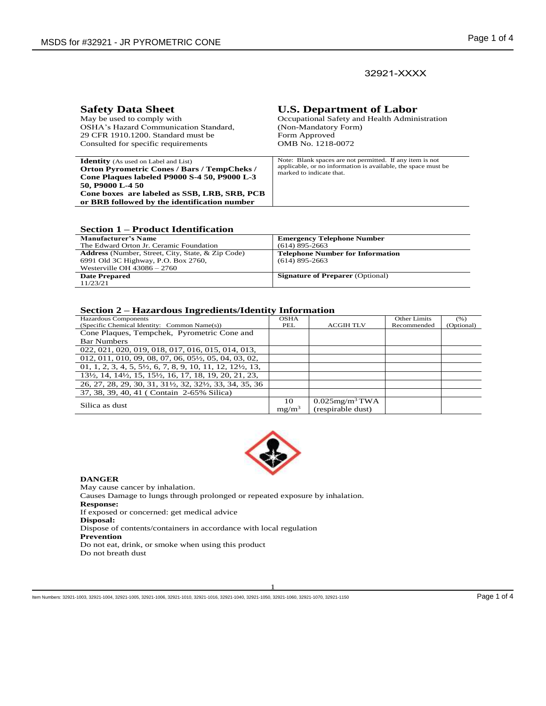# 32921-XXXX

| <b>Safety Data Sheet</b>                                                                                                                                                                                                                                              | <b>U.S. Department of Labor</b>                                                                                                                       |
|-----------------------------------------------------------------------------------------------------------------------------------------------------------------------------------------------------------------------------------------------------------------------|-------------------------------------------------------------------------------------------------------------------------------------------------------|
| May be used to comply with                                                                                                                                                                                                                                            | Occupational Safety and Health Administration                                                                                                         |
| OSHA's Hazard Communication Standard.                                                                                                                                                                                                                                 | (Non-Mandatory Form)                                                                                                                                  |
| 29 CFR 1910.1200. Standard must be                                                                                                                                                                                                                                    | Form Approved                                                                                                                                         |
| Consulted for specific requirements                                                                                                                                                                                                                                   | OMB No. 1218-0072                                                                                                                                     |
| <b>Identity</b> (As used on Label and List)<br><b>Orton Pyrometric Cones / Bars / TempCheks /</b><br>Cone Plaques labeled P9000 S-4 50, P9000 L-3<br>50, P9000 L-4 50<br>Cone boxes are labeled as SSB, LRB, SRB, PCB<br>or BRB followed by the identification number | Note: Blank spaces are not permitted. If any item is not<br>applicable, or no information is available, the space must be<br>marked to indicate that. |

#### **Section 1 – Product Identification**

| <b>Manufacturer's Name</b>                               | <b>Emergency Telephone Number</b>       |
|----------------------------------------------------------|-----------------------------------------|
| The Edward Orton Jr. Ceramic Foundation                  | $(614)$ 895-2663                        |
| <b>Address</b> (Number, Street, City, State, & Zip Code) | <b>Telephone Number for Information</b> |
| 6991 Old 3C Highway, P.O. Box 2760,                      | $(614)$ 895-2663                        |
| Westerville OH $43086 - 2760$                            |                                         |
| <b>Date Prepared</b>                                     | <b>Signature of Preparer</b> (Optional) |
| 11/23/21                                                 |                                         |

#### **Section 2 – Hazardous Ingredients/Identity Information**

| <b>Hazardous Components</b>                                                                                                            | <b>OSHA</b> |                               | <b>Other Limits</b> | (% )       |
|----------------------------------------------------------------------------------------------------------------------------------------|-------------|-------------------------------|---------------------|------------|
| (Specific Chemical Identity: Common Name(s))                                                                                           | PEL         | <b>ACGIH TLV</b>              | Recommended         | (Optional) |
| Cone Plaques, Tempchek, Pyrometric Cone and                                                                                            |             |                               |                     |            |
| <b>Bar Numbers</b>                                                                                                                     |             |                               |                     |            |
| 022, 021, 020, 019, 018, 017, 016, 015, 014, 013,                                                                                      |             |                               |                     |            |
| 012, 011, 010, 09, 08, 07, 06, 05 <sup><math>\frac{1}{2}</math></sup> , 05, 04, 03, 02,                                                |             |                               |                     |            |
| $01, 1, 2, 3, 4, 5, 5\frac{1}{2}, 6, 7, 8, 9, 10, 11, 12, 12\frac{1}{2}, 13,$                                                          |             |                               |                     |            |
| 13 <sup>1</sup> / <sub>2</sub> , 14, 14 <sup>1</sup> / <sub>2</sub> , 15, 15 <sup>1</sup> / <sub>2</sub> , 16, 17, 18, 19, 20, 21, 23, |             |                               |                     |            |
| 26, 27, 28, 29, 30, 31, 311/2, 32, 321/2, 33, 34, 35, 36                                                                               |             |                               |                     |            |
| 37, 38, 39, 40, 41 (Contain 2-65% Silica)                                                                                              |             |                               |                     |            |
|                                                                                                                                        | 10          | $0.025$ mg/m <sup>3</sup> TWA |                     |            |
| Silica as dust                                                                                                                         | $mg/m^3$    | (respirable dust)             |                     |            |



#### **DANGER**

May cause cancer by inhalation. Causes Damage to lungs through prolonged or repeated exposure by inhalation. **Response:**  If exposed or concerned: get medical advice **Disposal:**  Dispose of contents/containers in accordance with local regulation **Prevention**  Do not eat, drink, or smoke when using this product Do not breath dust

Item Numbers: 32921-1003, 32921-1004, 32921-1005, 32921-1006, 32921-1010, 32921-1040, 32921-1050, 32921-1050, 32921-1050, 32921-1050, 32921-1050, 32921-1050, 32921-1150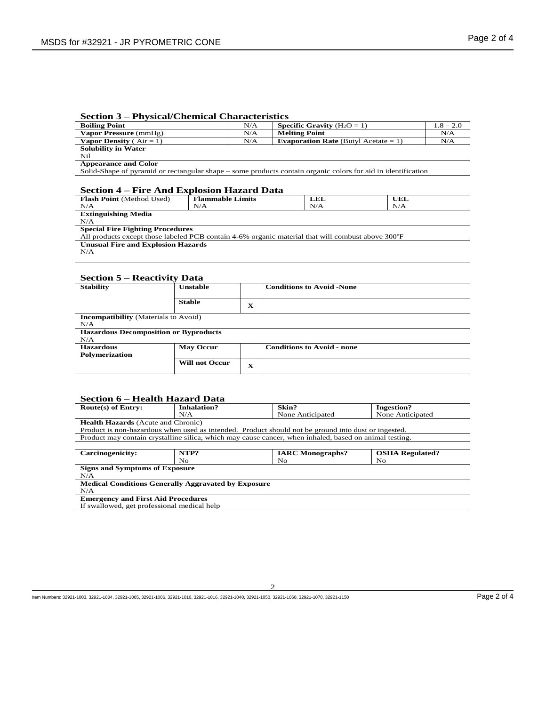## **Section 3 – Physical/Chemical Characteristics**

| $\blacksquare$<br><b>Boiling Point</b>              |                         | N/A          | <b>Specific Gravity</b> $(H_2O = 1)$                                                                         | $1.8 - 2.0$ |  |
|-----------------------------------------------------|-------------------------|--------------|--------------------------------------------------------------------------------------------------------------|-------------|--|
| Vapor Pressure (mmHg)                               |                         | N/A          | <b>Melting Point</b>                                                                                         | N/A         |  |
| <b>Vapor Density</b> ( $Air = 1$ )                  |                         | N/A          | <b>Evaporation Rate</b> (Butyl Acetate = 1)                                                                  | N/A         |  |
| <b>Solubility in Water</b>                          |                         |              |                                                                                                              |             |  |
| Nil                                                 |                         |              |                                                                                                              |             |  |
| <b>Appearance and Color</b>                         |                         |              |                                                                                                              |             |  |
|                                                     |                         |              | Solid-Shape of pyramid or rectangular shape – some products contain organic colors for aid in identification |             |  |
| <b>Section 4 – Fire And Explosion Hazard Data</b>   |                         |              |                                                                                                              |             |  |
| Flash Point (Method Used)                           | <b>Flammable Limits</b> |              | LEL<br>UEL                                                                                                   |             |  |
| N/A                                                 | N/A                     |              | N/A<br>N/A                                                                                                   |             |  |
| <b>Extinguishing Media</b><br>N/A                   |                         |              |                                                                                                              |             |  |
| <b>Special Fire Fighting Procedures</b>             |                         |              | All products except those labeled PCB contain 4-6% organic material that will combust above 300°F            |             |  |
| <b>Unusual Fire and Explosion Hazards</b><br>N/A    |                         |              |                                                                                                              |             |  |
| <b>Section 5 – Reactivity Data</b>                  |                         |              |                                                                                                              |             |  |
| <b>Stability</b>                                    | <b>Unstable</b>         |              | <b>Conditions to Avoid -None</b>                                                                             |             |  |
|                                                     | <b>Stable</b>           | $\mathbf{x}$ |                                                                                                              |             |  |
| <b>Incompatibility</b> (Materials to Avoid)<br>N/A  |                         |              |                                                                                                              |             |  |
| <b>Hazardous Decomposition or Byproducts</b><br>N/A |                         |              |                                                                                                              |             |  |
| <b>Hazardous</b><br><b>Polymerization</b>           | <b>May Occur</b>        |              | <b>Conditions to Avoid - none</b>                                                                            |             |  |
|                                                     | <b>Will not Occur</b>   | $\mathbf{x}$ |                                                                                                              |             |  |

## **Section 6 – Health Hazard Data**

| $\sim$ $\sim$ $\sim$ $\sim$                                                                            |                                                                                                     |                         |                        |  |  |  |
|--------------------------------------------------------------------------------------------------------|-----------------------------------------------------------------------------------------------------|-------------------------|------------------------|--|--|--|
| Route(s) of Entry:                                                                                     | <b>Inhalation?</b>                                                                                  | Skin?                   | Ingestion?             |  |  |  |
|                                                                                                        | N/A                                                                                                 | None Anticipated        | None Anticipated       |  |  |  |
|                                                                                                        | <b>Health Hazards</b> (Acute and Chronic)                                                           |                         |                        |  |  |  |
|                                                                                                        | Product is non-hazardous when used as intended. Product should not be ground into dust or ingested. |                         |                        |  |  |  |
| Product may contain crystalline silica, which may cause cancer, when inhaled, based on animal testing. |                                                                                                     |                         |                        |  |  |  |
|                                                                                                        |                                                                                                     |                         |                        |  |  |  |
| Carcinogenicity:                                                                                       | NTP?                                                                                                | <b>IARC</b> Monographs? | <b>OSHA Regulated?</b> |  |  |  |
|                                                                                                        | No                                                                                                  | No.                     | No.                    |  |  |  |
| <b>Signs and Symptoms of Exposure</b>                                                                  |                                                                                                     |                         |                        |  |  |  |
| N/A                                                                                                    |                                                                                                     |                         |                        |  |  |  |
|                                                                                                        | <b>Medical Conditions Generally Aggravated by Exposure</b>                                          |                         |                        |  |  |  |
| N/A                                                                                                    |                                                                                                     |                         |                        |  |  |  |
| <b>Emergency and First Aid Procedures</b>                                                              |                                                                                                     |                         |                        |  |  |  |
| If swallowed, get professional medical help                                                            |                                                                                                     |                         |                        |  |  |  |

Item Numbers: 32921-1003, 32921-1004, 32921-1005, 32921-1006, 32921-1010, 32921-1016, 32921-1040, 32921-1050, 32921-1060, 32921-1070, 32921-1150 Page 2 of 4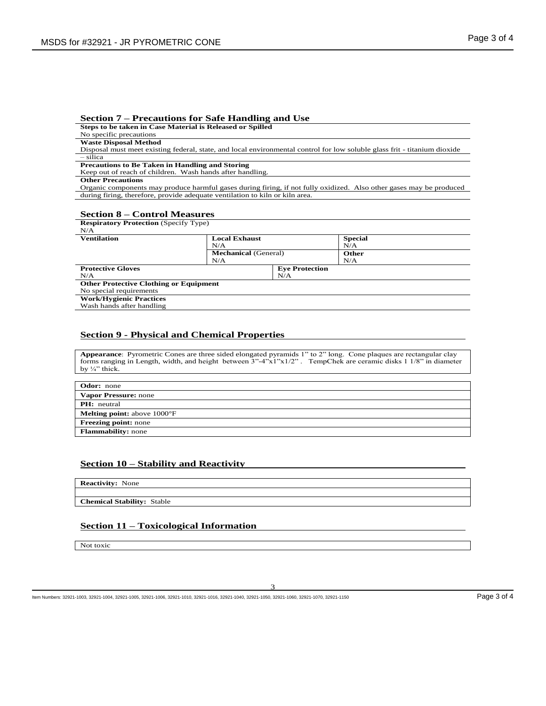#### **Section 7 – Precautions for Safe Handling and Use**

**Steps to be taken in Case Material is Released or Spilled**

# No specific precautions

**Waste Disposal Method**

Disposal must meet existing federal, state, and local environmental control for low soluble glass frit - titanium dioxide – silica

**Precautions to Be Taken in Handling and Storing**

Keep out of reach of children. Wash hands after handling.

#### **Other Precautions**

Organic components may produce harmful gases during firing, if not fully oxidized. Also other gases may be produced during firing, therefore, provide adequate ventilation to kiln or kiln area.

#### **Section 8 – Control Measures**

| <b>Respiratory Protection</b> (Specify Type)  |                             |     |                |
|-----------------------------------------------|-----------------------------|-----|----------------|
| N/A                                           |                             |     |                |
| <b>Ventilation</b>                            | <b>Local Exhaust</b>        |     | <b>Special</b> |
|                                               | N/A                         |     | N/A            |
|                                               | <b>Mechanical</b> (General) |     | Other          |
|                                               | N/A                         |     | N/A            |
| <b>Protective Gloves</b>                      | <b>Eve Protection</b>       |     |                |
| N/A                                           |                             | N/A |                |
| <b>Other Protective Clothing or Equipment</b> |                             |     |                |
| No special requirements                       |                             |     |                |
| <b>Work/Hygienic Practices</b>                |                             |     |                |
| Wash hands after handling                     |                             |     |                |

### **Section 9 - Physical and Chemical Properties**

**Appearance**: Pyrometric Cones are three sided elongated pyramids 1" to 2" long. Cone plaques are rectangular clay forms ranging in Length, width, and height between 3"-4"x1"x1/2" . TempChek are ceramic disks 1 1/8" in diameter by  $\frac{1}{4}$ " thick.

| <b>Odor:</b> none                            |
|----------------------------------------------|
| <b>Vapor Pressure: none</b>                  |
| <b>PH</b> : neutral                          |
| <b>Melting point:</b> above $1000^{\circ}$ F |
| <b>Freezing point:</b> none                  |
| <b>Flammability:</b> none                    |

### **Section 10 – Stability and Reactivity**

**Reactivity:** None

**Chemical Stability:** Stable

### **Section 11 – Toxicological Information**

Not toxic

Item Numbers: 32921-1003, 32921-1004, 32921-1005, 32921-1006, 32921-1010, 32921-1016, 32921-1040, 32921-1050, 32921-1060, 32921-1070, 32921-1150 Page 3 of 4